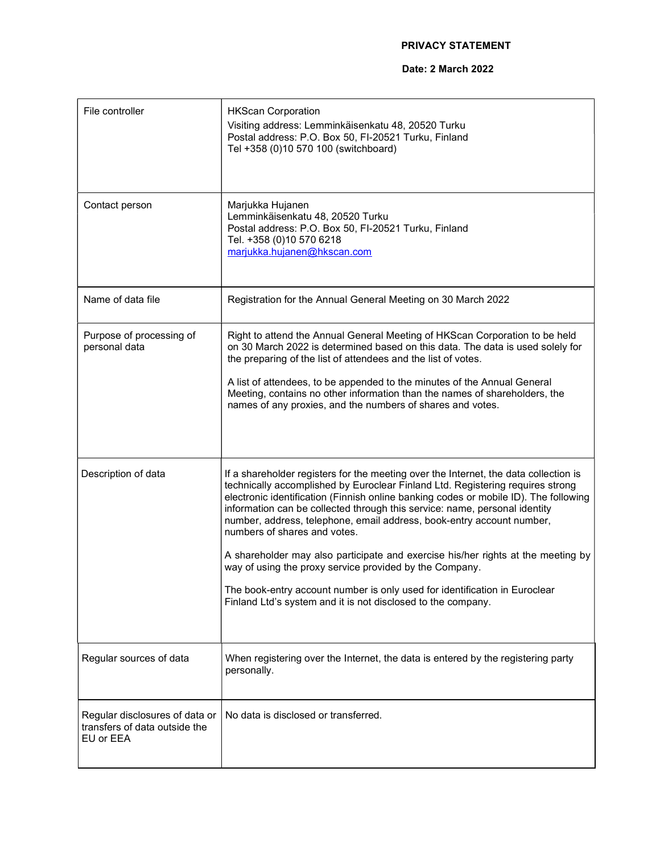## PRIVACY STATEMENT

## Date: 2 March 2022

| File controller                                                              | <b>HKScan Corporation</b><br>Visiting address: Lemminkäisenkatu 48, 20520 Turku<br>Postal address: P.O. Box 50, FI-20521 Turku, Finland<br>Tel +358 (0)10 570 100 (switchboard)                                                                                                                                                                                                                                                                                                                                                                                                                                                                                                                                                                    |
|------------------------------------------------------------------------------|----------------------------------------------------------------------------------------------------------------------------------------------------------------------------------------------------------------------------------------------------------------------------------------------------------------------------------------------------------------------------------------------------------------------------------------------------------------------------------------------------------------------------------------------------------------------------------------------------------------------------------------------------------------------------------------------------------------------------------------------------|
| Contact person                                                               | Marjukka Hujanen<br>Lemminkäisenkatu 48, 20520 Turku<br>Postal address: P.O. Box 50, FI-20521 Turku, Finland<br>Tel. +358 (0)10 570 6218<br>marjukka.hujanen@hkscan.com                                                                                                                                                                                                                                                                                                                                                                                                                                                                                                                                                                            |
| Name of data file                                                            | Registration for the Annual General Meeting on 30 March 2022                                                                                                                                                                                                                                                                                                                                                                                                                                                                                                                                                                                                                                                                                       |
| Purpose of processing of<br>personal data                                    | Right to attend the Annual General Meeting of HKScan Corporation to be held<br>on 30 March 2022 is determined based on this data. The data is used solely for<br>the preparing of the list of attendees and the list of votes.<br>A list of attendees, to be appended to the minutes of the Annual General<br>Meeting, contains no other information than the names of shareholders, the<br>names of any proxies, and the numbers of shares and votes.                                                                                                                                                                                                                                                                                             |
| Description of data                                                          | If a shareholder registers for the meeting over the Internet, the data collection is<br>technically accomplished by Euroclear Finland Ltd. Registering requires strong<br>electronic identification (Finnish online banking codes or mobile ID). The following<br>information can be collected through this service: name, personal identity<br>number, address, telephone, email address, book-entry account number,<br>numbers of shares and votes.<br>A shareholder may also participate and exercise his/her rights at the meeting by<br>way of using the proxy service provided by the Company.<br>The book-entry account number is only used for identification in Euroclear<br>Finland Ltd's system and it is not disclosed to the company. |
| Regular sources of data                                                      | When registering over the Internet, the data is entered by the registering party<br>personally.                                                                                                                                                                                                                                                                                                                                                                                                                                                                                                                                                                                                                                                    |
| Regular disclosures of data or<br>transfers of data outside the<br>EU or EEA | No data is disclosed or transferred.                                                                                                                                                                                                                                                                                                                                                                                                                                                                                                                                                                                                                                                                                                               |